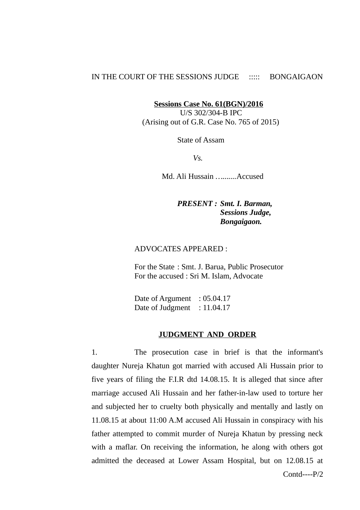## IN THE COURT OF THE SESSIONS JUDGE ::::: BONGAIGAON

**Sessions Case No. 61(BGN)/2016**

 U/S 302/304-B IPC (Arising out of G.R. Case No. 765 of 2015)

State of Assam

*Vs.*

Md. Ali Hussain *….......*Accused

*PRESENT : Smt. I. Barman, Sessions Judge, Bongaigaon.*

## ADVOCATES APPEARED :

For the State : Smt. J. Barua, Public Prosecutor For the accused : Sri M. Islam, Advocate

Date of Argument : 05.04.17 Date of Judgment : 11.04.17

### **JUDGMENT AND ORDER**

1. The prosecution case in brief is that the informant's daughter Nureja Khatun got married with accused Ali Hussain prior to five years of filing the F.I.R dtd 14.08.15. It is alleged that since after marriage accused Ali Hussain and her father-in-law used to torture her and subjected her to cruelty both physically and mentally and lastly on 11.08.15 at about 11:00 A.M accused Ali Hussain in conspiracy with his father attempted to commit murder of Nureja Khatun by pressing neck with a maflar. On receiving the information, he along with others got admitted the deceased at Lower Assam Hospital, but on 12.08.15 at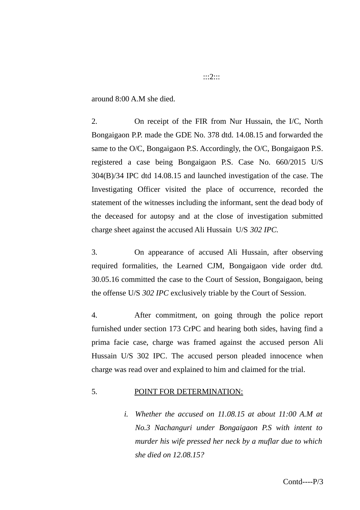around 8:00 A.M she died.

2. On receipt of the FIR from Nur Hussain, the I/C, North Bongaigaon P.P. made the GDE No. 378 dtd. 14.08.15 and forwarded the same to the O/C, Bongaigaon P.S. Accordingly, the O/C, Bongaigaon P.S. registered a case being Bongaigaon P.S. Case No. 660/2015 U/S 304(B)/34 IPC dtd 14.08.15 and launched investigation of the case. The Investigating Officer visited the place of occurrence, recorded the statement of the witnesses including the informant, sent the dead body of the deceased for autopsy and at the close of investigation submitted charge sheet against the accused Ali Hussain U/S *302 IPC.*

3. On appearance of accused Ali Hussain, after observing required formalities, the Learned CJM, Bongaigaon vide order dtd. 30.05.16 committed the case to the Court of Session, Bongaigaon, being the offense U/S *302 IPC* exclusively triable by the Court of Session.

4. After commitment, on going through the police report furnished under section 173 CrPC and hearing both sides, having find a prima facie case, charge was framed against the accused person Ali Hussain U/S 302 IPC. The accused person pleaded innocence when charge was read over and explained to him and claimed for the trial.

# 5. POINT FOR DETERMINATION:

*i. Whether the accused on 11.08.15 at about 11:00 A.M at No.3 Nachanguri under Bongaigaon P.S with intent to murder his wife pressed her neck by a muflar due to which she died on 12.08.15?* 

:::2:::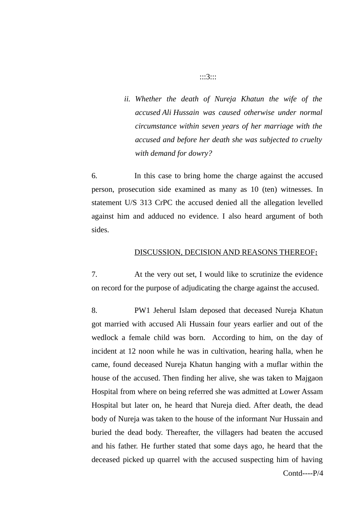*ii. Whether the death of Nureja Khatun the wife of the accused Ali Hussain was caused otherwise under normal circumstance within seven years of her marriage with the accused and before her death she was subjected to cruelty with demand for dowry?*

6. In this case to bring home the charge against the accused person, prosecution side examined as many as 10 (ten) witnesses. In statement U/S 313 CrPC the accused denied all the allegation levelled against him and adduced no evidence. I also heard argument of both sides.

## DISCUSSION, DECISION AND REASONS THEREOF**:**

7. At the very out set, I would like to scrutinize the evidence on record for the purpose of adjudicating the charge against the accused.

8. PW1 Jeherul Islam deposed that deceased Nureja Khatun got married with accused Ali Hussain four years earlier and out of the wedlock a female child was born. According to him, on the day of incident at 12 noon while he was in cultivation, hearing halla, when he came, found deceased Nureja Khatun hanging with a muflar within the house of the accused. Then finding her alive, she was taken to Majgaon Hospital from where on being referred she was admitted at Lower Assam Hospital but later on, he heard that Nureja died. After death, the dead body of Nureja was taken to the house of the informant Nur Hussain and buried the dead body. Thereafter, the villagers had beaten the accused and his father. He further stated that some days ago, he heard that the deceased picked up quarrel with the accused suspecting him of having

Contd----P/4

### :::3:::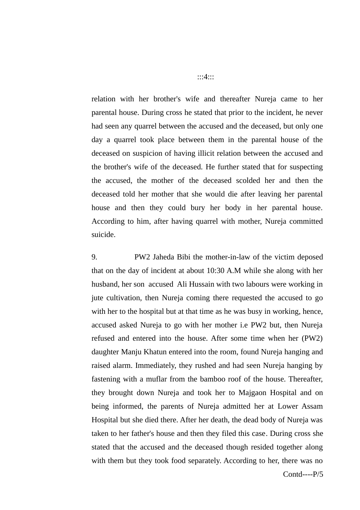relation with her brother's wife and thereafter Nureja came to her parental house. During cross he stated that prior to the incident, he never had seen any quarrel between the accused and the deceased, but only one day a quarrel took place between them in the parental house of the deceased on suspicion of having illicit relation between the accused and the brother's wife of the deceased. He further stated that for suspecting the accused, the mother of the deceased scolded her and then the deceased told her mother that she would die after leaving her parental house and then they could bury her body in her parental house. According to him, after having quarrel with mother, Nureja committed suicide.

9. PW2 Jaheda Bibi the mother-in-law of the victim deposed that on the day of incident at about 10:30 A.M while she along with her husband, her son accused Ali Hussain with two labours were working in jute cultivation, then Nureja coming there requested the accused to go with her to the hospital but at that time as he was busy in working, hence, accused asked Nureja to go with her mother i.e PW2 but, then Nureja refused and entered into the house. After some time when her (PW2) daughter Manju Khatun entered into the room, found Nureja hanging and raised alarm. Immediately, they rushed and had seen Nureja hanging by fastening with a muflar from the bamboo roof of the house. Thereafter, they brought down Nureja and took her to Majgaon Hospital and on being informed, the parents of Nureja admitted her at Lower Assam Hospital but she died there. After her death, the dead body of Nureja was taken to her father's house and then they filed this case. During cross she stated that the accused and the deceased though resided together along with them but they took food separately. According to her, there was no

:::4:::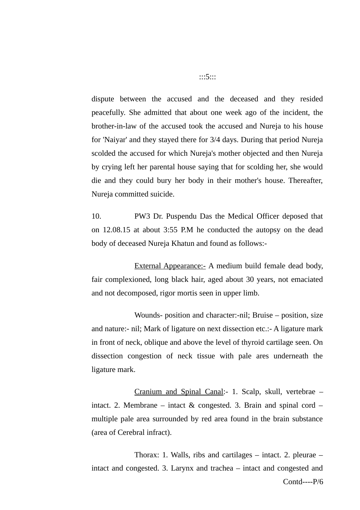dispute between the accused and the deceased and they resided peacefully. She admitted that about one week ago of the incident, the brother-in-law of the accused took the accused and Nureja to his house for 'Naiyar' and they stayed there for 3/4 days. During that period Nureja scolded the accused for which Nureja's mother objected and then Nureja by crying left her parental house saying that for scolding her, she would die and they could bury her body in their mother's house. Thereafter, Nureja committed suicide.

10. PW3 Dr. Puspendu Das the Medical Officer deposed that on 12.08.15 at about 3:55 P.M he conducted the autopsy on the dead body of deceased Nureja Khatun and found as follows:-

**External Appearance:- A medium build female dead body,** fair complexioned, long black hair, aged about 30 years, not emaciated and not decomposed, rigor mortis seen in upper limb.

Wounds- position and character:-nil; Bruise – position, size and nature:- nil; Mark of ligature on next dissection etc.:- A ligature mark in front of neck, oblique and above the level of thyroid cartilage seen. On dissection congestion of neck tissue with pale ares underneath the ligature mark.

Cranium and Spinal Canal:- 1. Scalp, skull, vertebrae – intact. 2. Membrane – intact  $\&$  congested. 3. Brain and spinal cord – multiple pale area surrounded by red area found in the brain substance (area of Cerebral infract).

Thorax: 1. Walls, ribs and cartilages  $-$  intact. 2. pleurae  $$ intact and congested. 3. Larynx and trachea – intact and congested and Contd----P/6

:::5:::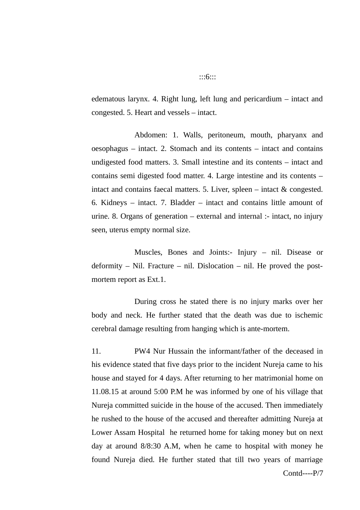edematous larynx. 4. Right lung, left lung and pericardium – intact and congested. 5. Heart and vessels – intact.

Abdomen: 1. Walls, peritoneum, mouth, pharyanx and oesophagus – intact. 2. Stomach and its contents – intact and contains undigested food matters. 3. Small intestine and its contents – intact and contains semi digested food matter. 4. Large intestine and its contents – intact and contains faecal matters. 5. Liver, spleen – intact & congested. 6. Kidneys – intact. 7. Bladder – intact and contains little amount of urine. 8. Organs of generation  $-$  external and internal :- intact, no injury seen, uterus empty normal size.

Muscles, Bones and Joints:- Injury – nil. Disease or deformity – Nil. Fracture – nil. Dislocation – nil. He proved the postmortem report as Ext.1.

During cross he stated there is no injury marks over her body and neck. He further stated that the death was due to ischemic cerebral damage resulting from hanging which is ante-mortem.

11. PW4 Nur Hussain the informant/father of the deceased in his evidence stated that five days prior to the incident Nureja came to his house and stayed for 4 days. After returning to her matrimonial home on 11.08.15 at around 5:00 P.M he was informed by one of his village that Nureja committed suicide in the house of the accused. Then immediately he rushed to the house of the accused and thereafter admitting Nureja at Lower Assam Hospital he returned home for taking money but on next day at around 8/8:30 A.M, when he came to hospital with money he found Nureja died. He further stated that till two years of marriage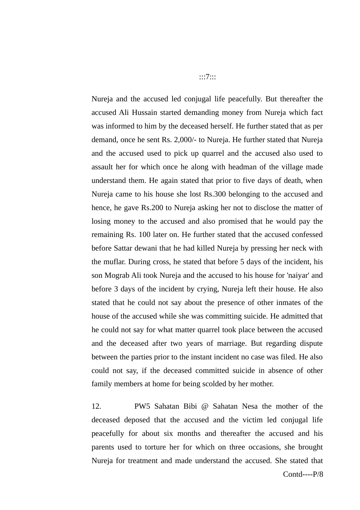Nureja and the accused led conjugal life peacefully. But thereafter the accused Ali Hussain started demanding money from Nureja which fact was informed to him by the deceased herself. He further stated that as per demand, once he sent Rs. 2,000/- to Nureja. He further stated that Nureja and the accused used to pick up quarrel and the accused also used to assault her for which once he along with headman of the village made understand them. He again stated that prior to five days of death, when Nureja came to his house she lost Rs.300 belonging to the accused and hence, he gave Rs.200 to Nureja asking her not to disclose the matter of losing money to the accused and also promised that he would pay the remaining Rs. 100 later on. He further stated that the accused confessed before Sattar dewani that he had killed Nureja by pressing her neck with the muflar. During cross, he stated that before 5 days of the incident, his son Mograb Ali took Nureja and the accused to his house for 'naiyar' and before 3 days of the incident by crying, Nureja left their house. He also stated that he could not say about the presence of other inmates of the house of the accused while she was committing suicide. He admitted that he could not say for what matter quarrel took place between the accused and the deceased after two years of marriage. But regarding dispute between the parties prior to the instant incident no case was filed. He also could not say, if the deceased committed suicide in absence of other family members at home for being scolded by her mother.

12. PW5 Sahatan Bibi @ Sahatan Nesa the mother of the deceased deposed that the accused and the victim led conjugal life peacefully for about six months and thereafter the accused and his parents used to torture her for which on three occasions, she brought Nureja for treatment and made understand the accused. She stated that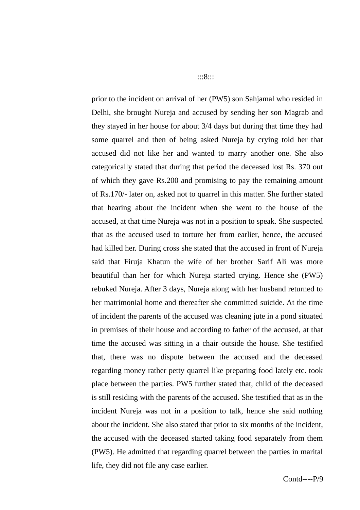prior to the incident on arrival of her (PW5) son Sahjamal who resided in Delhi, she brought Nureja and accused by sending her son Magrab and they stayed in her house for about 3/4 days but during that time they had some quarrel and then of being asked Nureja by crying told her that accused did not like her and wanted to marry another one. She also categorically stated that during that period the deceased lost Rs. 370 out of which they gave Rs.200 and promising to pay the remaining amount of Rs.170/- later on, asked not to quarrel in this matter. She further stated that hearing about the incident when she went to the house of the accused, at that time Nureja was not in a position to speak. She suspected that as the accused used to torture her from earlier, hence, the accused had killed her. During cross she stated that the accused in front of Nureja said that Firuja Khatun the wife of her brother Sarif Ali was more beautiful than her for which Nureja started crying. Hence she (PW5) rebuked Nureja. After 3 days, Nureja along with her husband returned to her matrimonial home and thereafter she committed suicide. At the time of incident the parents of the accused was cleaning jute in a pond situated in premises of their house and according to father of the accused, at that time the accused was sitting in a chair outside the house. She testified that, there was no dispute between the accused and the deceased regarding money rather petty quarrel like preparing food lately etc. took place between the parties. PW5 further stated that, child of the deceased is still residing with the parents of the accused. She testified that as in the incident Nureja was not in a position to talk, hence she said nothing about the incident. She also stated that prior to six months of the incident, the accused with the deceased started taking food separately from them (PW5). He admitted that regarding quarrel between the parties in marital life, they did not file any case earlier.

:::8:::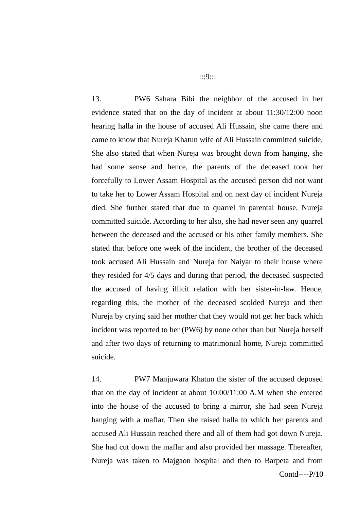13. PW6 Sahara Bibi the neighbor of the accused in her evidence stated that on the day of incident at about 11:30/12:00 noon hearing halla in the house of accused Ali Hussain, she came there and came to know that Nureja Khatun wife of Ali Hussain committed suicide. She also stated that when Nureja was brought down from hanging, she had some sense and hence, the parents of the deceased took her forcefully to Lower Assam Hospital as the accused person did not want to take her to Lower Assam Hospital and on next day of incident Nureja died. She further stated that due to quarrel in parental house, Nureja committed suicide. According to her also, she had never seen any quarrel between the deceased and the accused or his other family members. She stated that before one week of the incident, the brother of the deceased took accused Ali Hussain and Nureja for Naiyar to their house where they resided for 4/5 days and during that period, the deceased suspected the accused of having illicit relation with her sister-in-law. Hence, regarding this, the mother of the deceased scolded Nureja and then Nureja by crying said her mother that they would not get her back which incident was reported to her (PW6) by none other than but Nureja herself and after two days of returning to matrimonial home, Nureja committed suicide.

14. PW7 Manjuwara Khatun the sister of the accused deposed that on the day of incident at about 10:00/11:00 A.M when she entered into the house of the accused to bring a mirror, she had seen Nureja hanging with a maflar. Then she raised halla to which her parents and accused Ali Hussain reached there and all of them had got down Nureja. She had cut down the maflar and also provided her massage. Thereafter, Nureja was taken to Majgaon hospital and then to Barpeta and from Contd----P/10

:::9:::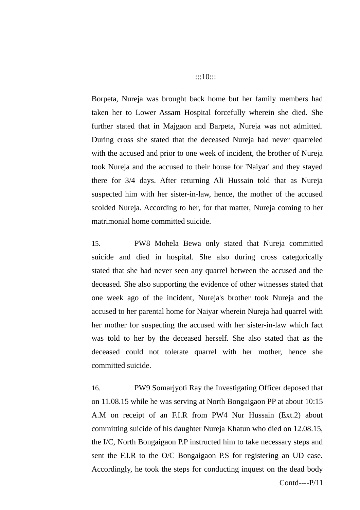Borpeta, Nureja was brought back home but her family members had taken her to Lower Assam Hospital forcefully wherein she died. She further stated that in Majgaon and Barpeta, Nureja was not admitted. During cross she stated that the deceased Nureja had never quarreled with the accused and prior to one week of incident, the brother of Nureja took Nureja and the accused to their house for 'Naiyar' and they stayed there for 3/4 days. After returning Ali Hussain told that as Nureja suspected him with her sister-in-law, hence, the mother of the accused scolded Nureja. According to her, for that matter, Nureja coming to her matrimonial home committed suicide.

15. PW8 Mohela Bewa only stated that Nureja committed suicide and died in hospital. She also during cross categorically stated that she had never seen any quarrel between the accused and the deceased. She also supporting the evidence of other witnesses stated that one week ago of the incident, Nureja's brother took Nureja and the accused to her parental home for Naiyar wherein Nureja had quarrel with her mother for suspecting the accused with her sister-in-law which fact was told to her by the deceased herself. She also stated that as the deceased could not tolerate quarrel with her mother, hence she committed suicide.

16. PW9 Somarjyoti Ray the Investigating Officer deposed that on 11.08.15 while he was serving at North Bongaigaon PP at about 10:15 A.M on receipt of an F.I.R from PW4 Nur Hussain (Ext.2) about committing suicide of his daughter Nureja Khatun who died on 12.08.15, the I/C, North Bongaigaon P.P instructed him to take necessary steps and sent the F.I.R to the O/C Bongaigaon P.S for registering an UD case. Accordingly, he took the steps for conducting inquest on the dead body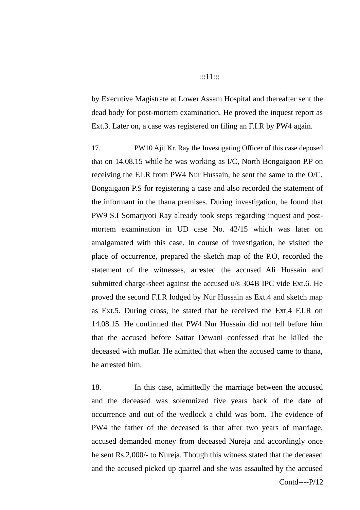### :::11:::

by Executive Magistrate at Lower Assam Hospital and thereafter sent the dead body for post-mortem examination. He proved the inquest report as Ext.3. Later on, a case was registered on filing an F.I.R by PW4 again.

17. PW10 Ajit Kr. Ray the Investigating Officer of this case deposed that on 14.08.15 while he was working as I/C, North Bongaigaon P.P on receiving the F.I.R from PW4 Nur Hussain, he sent the same to the O/C, Bongaigaon P.S for registering a case and also recorded the statement of the informant in the thana premises. During investigation, he found that PW9 S.I Somarjyoti Ray already took steps regarding inquest and postmortem examination in UD case No. 42/15 which was later on amalgamated with this case. In course of investigation, he visited the place of occurrence, prepared the sketch map of the P.O, recorded the statement of the witnesses, arrested the accused Ali Hussain and submitted charge-sheet against the accused u/s 304B IPC vide Ext.6. He proved the second F.I.R lodged by Nur Hussain as Ext.4 and sketch map as Ext.5. During cross, he stated that he received the Ext.4 F.I.R on 14.08.15. He confirmed that PW4 Nur Hussain did not tell before him that the accused before Sattar Dewani confessed that he killed the deceased with muflar. He admitted that when the accused came to thana, he arrested him.

18. In this case, admittedly the marriage between the accused and the deceased was solemnized five years back of the date of occurrence and out of the wedlock a child was born. The evidence of PW4 the father of the deceased is that after two years of marriage, accused demanded money from deceased Nureja and accordingly once he sent Rs.2,000/- to Nureja. Though this witness stated that the deceased and the accused picked up quarrel and she was assaulted by the accused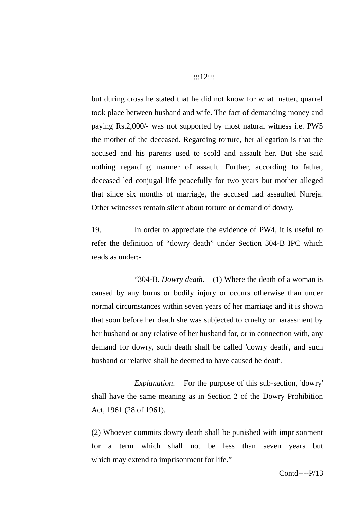but during cross he stated that he did not know for what matter, quarrel took place between husband and wife. The fact of demanding money and paying Rs.2,000/- was not supported by most natural witness i.e. PW5 the mother of the deceased. Regarding torture, her allegation is that the accused and his parents used to scold and assault her. But she said nothing regarding manner of assault. Further, according to father, deceased led conjugal life peacefully for two years but mother alleged that since six months of marriage, the accused had assaulted Nureja. Other witnesses remain silent about torture or demand of dowry.

19. In order to appreciate the evidence of PW4, it is useful to refer the definition of "dowry death" under Section 304-B IPC which reads as under:-

"304-B. *Dowry death*. – (1) Where the death of a woman is caused by any burns or bodily injury or occurs otherwise than under normal circumstances within seven years of her marriage and it is shown that soon before her death she was subjected to cruelty or harassment by her husband or any relative of her husband for, or in connection with, any demand for dowry, such death shall be called 'dowry death', and such husband or relative shall be deemed to have caused he death.

*Explanation*. – For the purpose of this sub-section, 'dowry' shall have the same meaning as in Section 2 of the Dowry Prohibition Act, 1961 (28 of 1961).

(2) Whoever commits dowry death shall be punished with imprisonment for a term which shall not be less than seven years but which may extend to imprisonment for life."

#### :::12:::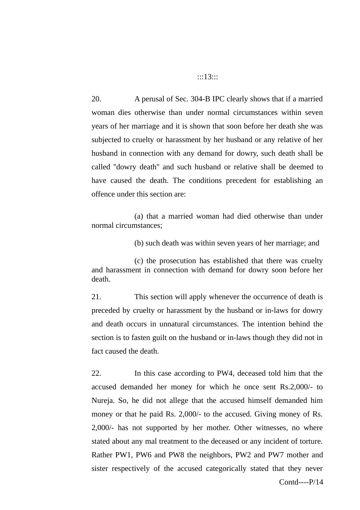### :::13:::

20. A perusal of Sec. 304-B IPC clearly shows that if a married woman dies otherwise than under normal circumstances within seven years of her marriage and it is shown that soon before her death she was subjected to cruelty or harassment by her husband or any relative of her husband in connection with any demand for dowry, such death shall be called ''dowry death'' and such husband or relative shall be deemed to have caused the death. The conditions precedent for establishing an offence under this section are:

(a) that a married woman had died otherwise than under normal circumstances;

(b) such death was within seven years of her marriage; and

(c) the prosecution has established that there was cruelty and harassment in connection with demand for dowry soon before her death.

21. This section will apply whenever the occurrence of death is preceded by cruelty or harassment by the husband or in-laws for dowry and death occurs in unnatural circumstances. The intention behind the section is to fasten guilt on the husband or in-laws though they did not in fact caused the death.

22. In this case according to PW4, deceased told him that the accused demanded her money for which he once sent Rs.2,000/- to Nureja. So, he did not allege that the accused himself demanded him money or that he paid Rs. 2,000/- to the accused. Giving money of Rs. 2,000/- has not supported by her mother. Other witnesses, no where stated about any mal treatment to the deceased or any incident of torture. Rather PW1, PW6 and PW8 the neighbors, PW2 and PW7 mother and sister respectively of the accused categorically stated that they never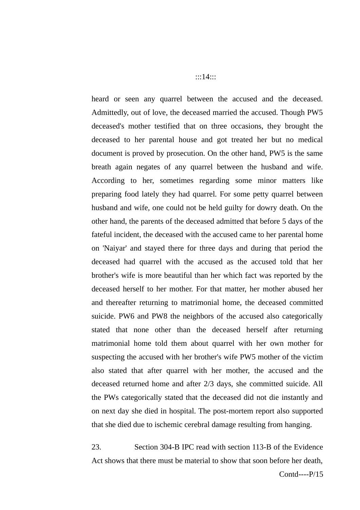heard or seen any quarrel between the accused and the deceased. Admittedly, out of love, the deceased married the accused. Though PW5 deceased's mother testified that on three occasions, they brought the deceased to her parental house and got treated her but no medical document is proved by prosecution. On the other hand, PW5 is the same breath again negates of any quarrel between the husband and wife. According to her, sometimes regarding some minor matters like preparing food lately they had quarrel. For some petty quarrel between husband and wife, one could not be held guilty for dowry death. On the other hand, the parents of the deceased admitted that before 5 days of the fateful incident, the deceased with the accused came to her parental home on 'Naiyar' and stayed there for three days and during that period the deceased had quarrel with the accused as the accused told that her brother's wife is more beautiful than her which fact was reported by the deceased herself to her mother. For that matter, her mother abused her and thereafter returning to matrimonial home, the deceased committed suicide. PW6 and PW8 the neighbors of the accused also categorically stated that none other than the deceased herself after returning matrimonial home told them about quarrel with her own mother for suspecting the accused with her brother's wife PW5 mother of the victim also stated that after quarrel with her mother, the accused and the deceased returned home and after 2/3 days, she committed suicide. All the PWs categorically stated that the deceased did not die instantly and on next day she died in hospital. The post-mortem report also supported that she died due to ischemic cerebral damage resulting from hanging.

23. Section 304-B IPC read with section 113-B of the Evidence Act shows that there must be material to show that soon before her death,

#### :::14:::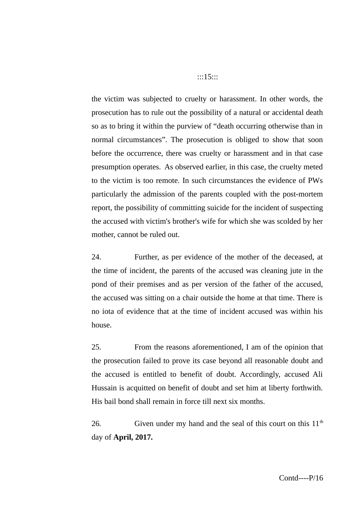the victim was subjected to cruelty or harassment. In other words, the prosecution has to rule out the possibility of a natural or accidental death so as to bring it within the purview of "death occurring otherwise than in normal circumstances". The prosecution is obliged to show that soon before the occurrence, there was cruelty or harassment and in that case presumption operates. As observed earlier, in this case, the cruelty meted to the victim is too remote. In such circumstances the evidence of PWs particularly the admission of the parents coupled with the post-mortem report, the possibility of committing suicide for the incident of suspecting the accused with victim's brother's wife for which she was scolded by her mother, cannot be ruled out.

24. Further, as per evidence of the mother of the deceased, at the time of incident, the parents of the accused was cleaning jute in the pond of their premises and as per version of the father of the accused, the accused was sitting on a chair outside the home at that time. There is no iota of evidence that at the time of incident accused was within his house.

25. From the reasons aforementioned, I am of the opinion that the prosecution failed to prove its case beyond all reasonable doubt and the accused is entitled to benefit of doubt. Accordingly, accused Ali Hussain is acquitted on benefit of doubt and set him at liberty forthwith. His bail bond shall remain in force till next six months.

26. Given under my hand and the seal of this court on this 11<sup>th</sup> day of **April, 2017.**

## :::15:::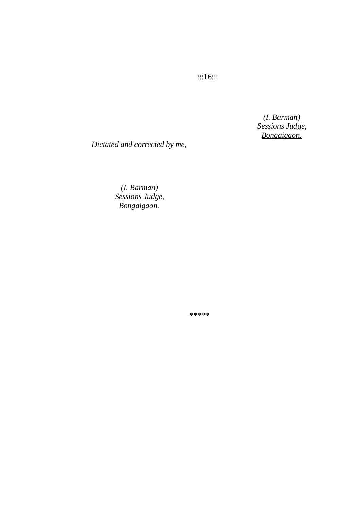:::16:::

 *(I. Barman) Sessions Judge, Bongaigaon.* 

*Dictated and corrected by me,*

 *(I. Barman) Sessions Judge, Bongaigaon.*

\*\*\*\*\*